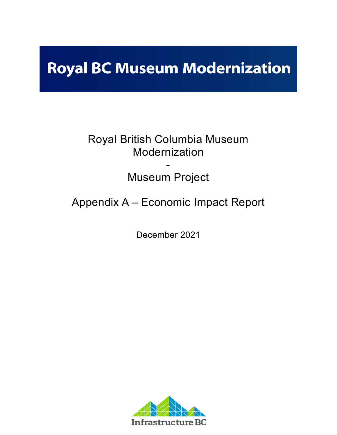# **Royal BC Museum Modernization**

## Royal British Columbia Museum Modernization

## - Museum Project

## Appendix A – Economic Impact Report

December 2021

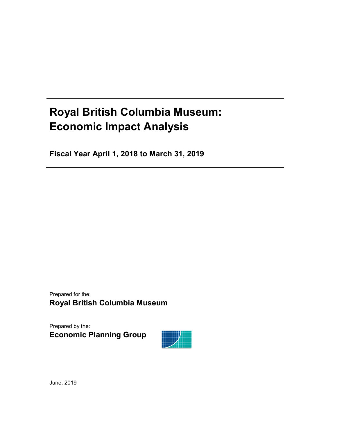## **Royal British Columbia Museum: Economic Impact Analysis**

**Fiscal Year April 1, 2018 to March 31, 2019**

Prepared for the: **Royal British Columbia Museum**

Prepared by the: **Economic Planning Group**



June, 2019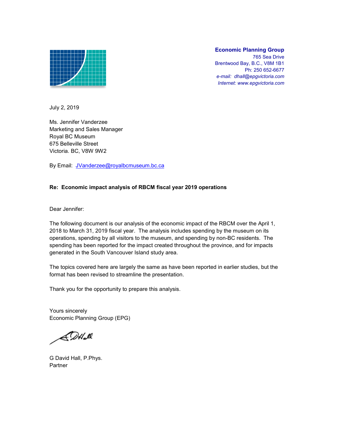

### **Economic Planning Group**

765 Sea Drive Brentwood Bay, B.C., V8M 1B1 Ph: 250 652-6677 *e-mail: dhall@epgvictoria.com Internet: www.epgvictoria.com*

July 2, 2019

Ms. Jennifer Vanderzee Marketing and Sales Manager Royal BC Museum 675 Belleville Street Victoria. BC, V8W 9W2

By Email: JVanderzee@royalbcmuseum.bc.ca

### **Re: Economic impact analysis of RBCM fiscal year 2019 operations**

Dear Jennifer:

The following document is our analysis of the economic impact of the RBCM over the April 1, 2018 to March 31, 2019 fiscal year. The analysis includes spending by the museum on its operations, spending by all visitors to the museum, and spending by non-BC residents. The spending has been reported for the impact created throughout the province, and for impacts generated in the South Vancouver Island study area.

The topics covered here are largely the same as have been reported in earlier studies, but the format has been revised to streamline the presentation.

Thank you for the opportunity to prepare this analysis.

Yours sincerely Economic Planning Group (EPG)

 $ADH\_M$ 

G David Hall, P.Phys. Partner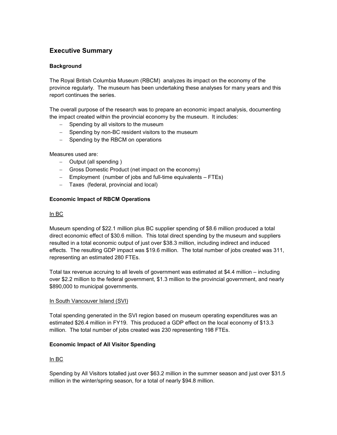### **Executive Summary**

### **Background**

The Royal British Columbia Museum (RBCM) analyzes its impact on the economy of the province regularly. The museum has been undertaking these analyses for many years and this report continues the series.

The overall purpose of the research was to prepare an economic impact analysis, documenting the impact created within the provincial economy by the museum. It includes:

- − Spending by all visitors to the museum
- − Spending by non-BC resident visitors to the museum
- − Spending by the RBCM on operations

Measures used are:

- − Output (all spending )
- − Gross Domestic Product (net impact on the economy)
- − Employment (number of jobs and full-time equivalents FTEs)
- − Taxes (federal, provincial and local)

### **Economic Impact of RBCM Operations**

### In BC

Museum spending of \$22.1 million plus BC supplier spending of \$8.6 million produced a total direct economic effect of \$30.6 million. This total direct spending by the museum and suppliers resulted in a total economic output of just over \$38.3 million, including indirect and induced effects. The resulting GDP impact was \$19.6 million. The total number of jobs created was 311, representing an estimated 280 FTEs.

Total tax revenue accruing to all levels of government was estimated at \$4.4 million – including over \$2.2 million to the federal government, \$1.3 million to the provincial government, and nearly \$890,000 to municipal governments.

### In South Vancouver Island (SVI)

Total spending generated in the SVI region based on museum operating expenditures was an estimated \$26.4 million in FY19. This produced a GDP effect on the local economy of \$13.3 million. The total number of jobs created was 230 representing 198 FTEs.

### **Economic Impact of All Visitor Spending**

### In BC

Spending by All Visitors totalled just over \$63.2 million in the summer season and just over \$31.5 million in the winter/spring season, for a total of nearly \$94.8 million.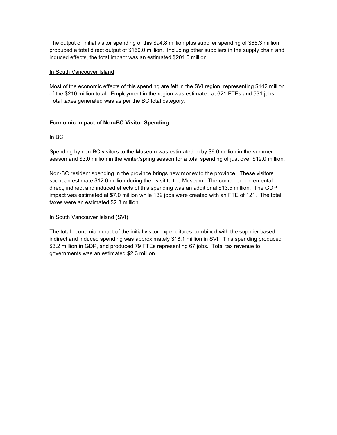The output of initial visitor spending of this \$94.8 million plus supplier spending of \$65.3 million produced a total direct output of \$160.0 million. Including other suppliers in the supply chain and induced effects, the total impact was an estimated \$201.0 million.

### In South Vancouver Island

Most of the economic effects of this spending are felt in the SVI region, representing \$142 million of the \$210 million total. Employment in the region was estimated at 621 FTEs and 531 jobs. Total taxes generated was as per the BC total category.

### **Economic Impact of Non-BC Visitor Spending**

### In BC

Spending by non-BC visitors to the Museum was estimated to by \$9.0 million in the summer season and \$3.0 million in the winter/spring season for a total spending of just over \$12.0 million.

Non-BC resident spending in the province brings new money to the province. These visitors spent an estimate \$12.0 million during their visit to the Museum. The combined incremental direct, indirect and induced effects of this spending was an additional \$13.5 million. The GDP impact was estimated at \$7.0 million while 132 jobs were created with an FTE of 121. The total taxes were an estimated \$2.3 million.

### In South Vancouver Island (SVI)

The total economic impact of the initial visitor expenditures combined with the supplier based indirect and induced spending was approximately \$18.1 million in SVI. This spending produced \$3.2 million in GDP, and produced 79 FTEs representing 67 jobs. Total tax revenue to governments was an estimated \$2.3 million.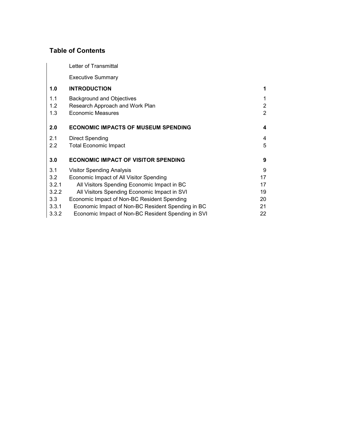### **Table of Contents**

Letter of Transmittal

Executive Summary

| 1.0              | <b>INTRODUCTION</b>                               | 1              |
|------------------|---------------------------------------------------|----------------|
| 1.1              | <b>Background and Objectives</b>                  | 1              |
| 1.2              | Research Approach and Work Plan                   | $\overline{2}$ |
| 1.3              | <b>Economic Measures</b>                          | $\overline{2}$ |
| 2.0              | <b>ECONOMIC IMPACTS OF MUSEUM SPENDING</b>        | 4              |
| 2.1              | <b>Direct Spending</b>                            | 4              |
| 2.2              | <b>Total Economic Impact</b>                      | 5              |
| 3.0              | <b>ECONOMIC IMPACT OF VISITOR SPENDING</b>        | 9              |
| 3.1              | <b>Visitor Spending Analysis</b>                  | 9              |
| 3.2              | Economic Impact of All Visitor Spending           | 17             |
| 3.2.1            | All Visitors Spending Economic Impact in BC       | 17             |
| 3.2.2            | All Visitors Spending Economic Impact in SVI      | 19             |
| 3.3 <sub>2</sub> | Economic Impact of Non-BC Resident Spending       | 20             |
| 3.3.1            | Economic Impact of Non-BC Resident Spending in BC | 21             |
|                  |                                                   |                |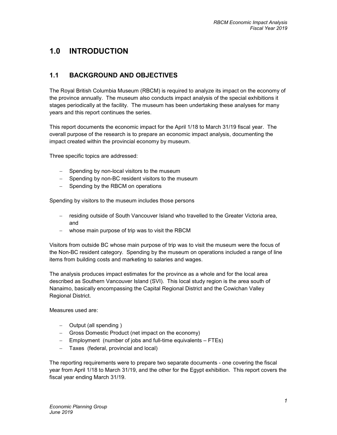### **1.0 INTRODUCTION**

### **1.1 BACKGROUND AND OBJECTIVES**

The Royal British Columbia Museum (RBCM) is required to analyze its impact on the economy of the province annually. The museum also conducts impact analysis of the special exhibitions it stages periodically at the facility. The museum has been undertaking these analyses for many years and this report continues the series.

This report documents the economic impact for the April 1/18 to March 31/19 fiscal year. The overall purpose of the research is to prepare an economic impact analysis, documenting the impact created within the provincial economy by museum.

Three specific topics are addressed:

- − Spending by non-local visitors to the museum
- − Spending by non-BC resident visitors to the museum
- − Spending by the RBCM on operations

Spending by visitors to the museum includes those persons

- − residing outside of South Vancouver Island who travelled to the Greater Victoria area, and
- − whose main purpose of trip was to visit the RBCM

Visitors from outside BC whose main purpose of trip was to visit the museum were the focus of the Non-BC resident category. Spending by the museum on operations included a range of line items from building costs and marketing to salaries and wages.

The analysis produces impact estimates for the province as a whole and for the local area described as Southern Vancouver Island (SVI). This local study region is the area south of Nanaimo, basically encompassing the Capital Regional District and the Cowichan Valley Regional District.

Measures used are:

- − Output (all spending )
- − Gross Domestic Product (net impact on the economy)
- − Employment (number of jobs and full-time equivalents FTEs)
- − Taxes (federal, provincial and local)

The reporting requirements were to prepare two separate documents - one covering the fiscal year from April 1/18 to March 31/19, and the other for the Egypt exhibition. This report covers the fiscal year ending March 31/19.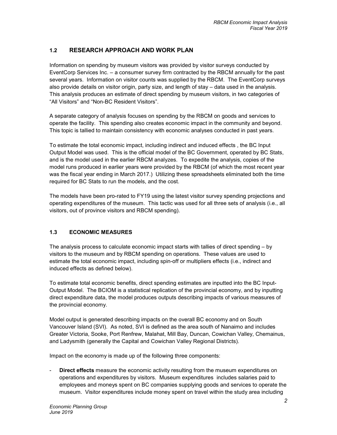### **1.2 RESEARCH APPROACH AND WORK PLAN**

Information on spending by museum visitors was provided by visitor surveys conducted by EventCorp Services Inc. – a consumer survey firm contracted by the RBCM annually for the past several years. Information on visitor counts was supplied by the RBCM. The EventCorp surveys also provide details on visitor origin, party size, and length of stay – data used in the analysis. This analysis produces an estimate of direct spending by museum visitors, in two categories of "All Visitors" and "Non-BC Resident Visitors".

A separate category of analysis focuses on spending by the RBCM on goods and services to operate the facility. This spending also creates economic impact in the community and beyond. This topic is tallied to maintain consistency with economic analyses conducted in past years.

To estimate the total economic impact, including indirect and induced effects , the BC Input Output Model was used. This is the official model of the BC Government, operated by BC Stats, and is the model used in the earlier RBCM analyzes. To expedite the analysis, copies of the model runs produced in earlier years were provided by the RBCM (of which the most recent year was the fiscal year ending in March 2017.) Utilizing these spreadsheets eliminated both the time required for BC Stats to run the models, and the cost.

The models have been pro-rated to FY19 using the latest visitor survey spending projections and operating expenditures of the museum. This tactic was used for all three sets of analysis (i.e., all visitors, out of province visitors and RBCM spending).

### **1.3 ECONOMIC MEASURES**

The analysis process to calculate economic impact starts with tallies of direct spending – by visitors to the museum and by RBCM spending on operations. These values are used to estimate the total economic impact, including spin-off or multipliers effects (i.e., indirect and induced effects as defined below).

To estimate total economic benefits, direct spending estimates are inputted into the BC Input-Output Model. The BCIOM is a statistical replication of the provincial economy, and by inputting direct expenditure data, the model produces outputs describing impacts of various measures of the provincial economy.

Model output is generated describing impacts on the overall BC economy and on South Vancouver Island (SVI). As noted, SVI is defined as the area south of Nanaimo and includes Greater Victoria, Sooke, Port Renfrew, Malahat, Mill Bay, Duncan, Cowichan Valley, Chemainus, and Ladysmith (generally the Capital and Cowichan Valley Regional Districts).

Impact on the economy is made up of the following three components:

**Direct effects** measure the economic activity resulting from the museum expenditures on operations and expenditures by visitors. Museum expenditures includes salaries paid to employees and moneys spent on BC companies supplying goods and services to operate the museum. Visitor expenditures include money spent on travel within the study area including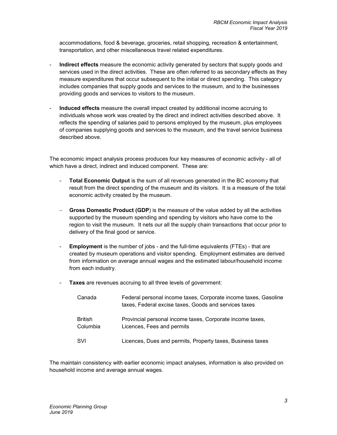accommodations, food & beverage, groceries, retail shopping, recreation & entertainment, transportation, and other miscellaneous travel related expenditures.

- **Indirect effects** measure the economic activity generated by sectors that supply goods and services used in the direct activities. These are often referred to as secondary effects as they measure expenditures that occur subsequent to the initial or direct spending. This category includes companies that supply goods and services to the museum, and to the businesses providing goods and services to visitors to the museum.
- **Induced effects** measure the overall impact created by additional income accruing to individuals whose work was created by the direct and indirect activities described above. It reflects the spending of salaries paid to persons employed by the museum, plus employees of companies supplying goods and services to the museum, and the travel service business described above.

The economic impact analysis process produces four key measures of economic activity - all of which have a direct, indirect and induced component. These are:

- **Total Economic Output** is the sum of all revenues generated in the BC economy that result from the direct spending of the museum and its visitors. It is a measure of the total economic activity created by the museum.
- − **Gross Domestic Product (GDP**) is the measure of the value added by all the activities supported by the museum spending and spending by visitors who have come to the region to visit the museum. It nets our all the supply chain transactions that occur prior to delivery of the final good or service.
- **Employment** is the number of jobs and the full-time equivalents (FTEs) that are created by museum operations and visitor spending. Employment estimates are derived from information on average annual wages and the estimated labour/household income from each industry.
- **Taxes** are revenues accruing to all three levels of government:

| Canada              | Federal personal income taxes, Corporate income taxes, Gasoline<br>taxes, Federal excise taxes, Goods and services taxes |
|---------------------|--------------------------------------------------------------------------------------------------------------------------|
| British<br>Columbia | Provincial personal income taxes, Corporate income taxes,<br>Licences, Fees and permits                                  |
| <b>SVI</b>          | Licences, Dues and permits, Property taxes, Business taxes                                                               |

The maintain consistency with earlier economic impact analyses, information is also provided on household income and average annual wages.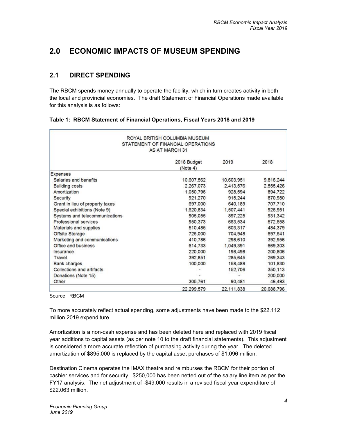### **2.0 ECONOMIC IMPACTS OF MUSEUM SPENDING**

### **2.1 DIRECT SPENDING**

The RBCM spends money annually to operate the facility, which in turn creates activity in both the local and provincial economies. The draft Statement of Financial Operations made available for this analysis is as follows:

| ROYAL BRITISH COLUMBIA MUSEUM<br>STATEMENT OF FINANCIAL OPERATIONS<br><b>AS AT MARCH 31</b> |                         |            |            |  |  |  |  |
|---------------------------------------------------------------------------------------------|-------------------------|------------|------------|--|--|--|--|
|                                                                                             | 2018 Budget<br>(Note 4) | 2019       | 2018       |  |  |  |  |
| <b>Expenses</b>                                                                             |                         |            |            |  |  |  |  |
| Salaries and benefits                                                                       | 10,607.562              | 10,603,951 | 9,816,244  |  |  |  |  |
| <b>Building costs</b>                                                                       | 2,267.073               | 2,413,576  | 2,555,426  |  |  |  |  |
| Amortization                                                                                | 1,050,796               | 928,594    | 894,722    |  |  |  |  |
| Security                                                                                    | 921,270                 | 915,244    | 870,980    |  |  |  |  |
| Grant in lieu of property taxes                                                             | 697,000                 | 640,189    | 707,710    |  |  |  |  |
| Special exhibitions (Note 9)                                                                | 1,620,834               | 1,507,441  | 926,951    |  |  |  |  |
| Systems and telecommunications                                                              | 905,055                 | 897,225    | 931,342    |  |  |  |  |
| Professional services                                                                       | 950,373                 | 663.534    | 572,658    |  |  |  |  |
| Materials and supplies                                                                      | 510,485                 | 603,317    | 484,379    |  |  |  |  |
| Offsite Storage                                                                             | 725,000                 | 704.948    | 697,541    |  |  |  |  |
| Marketing and communications                                                                | 410.786                 | 298,610    | 392,956    |  |  |  |  |
| Office and business                                                                         | 614.733                 | 1.049.391  | 669,303    |  |  |  |  |
| Insurance                                                                                   | 220,000                 | 198,498    | 200,806    |  |  |  |  |
| Travel                                                                                      | 392.851                 | 285,645    | 269,343    |  |  |  |  |
| <b>Bank charges</b>                                                                         | 100,000                 | 158,489    | 101,830    |  |  |  |  |
| Collections and artifacts                                                                   |                         | 152,706    | 350,113    |  |  |  |  |
| Donations (Note 15)                                                                         |                         |            | 200,000    |  |  |  |  |
| Other                                                                                       | 305,761                 | 90,481     | 46,493     |  |  |  |  |
|                                                                                             | 22,299.579              | 22,111,838 | 20,688,796 |  |  |  |  |

|  | Table 1: RBCM Statement of Financial Operations, Fiscal Years 2018 and 2019 |  |  |  |
|--|-----------------------------------------------------------------------------|--|--|--|
|  |                                                                             |  |  |  |

Source: RBCM

To more accurately reflect actual spending, some adjustments have been made to the \$22.112 million 2019 expenditure.

Amortization is a non-cash expense and has been deleted here and replaced with 2019 fiscal year additions to capital assets (as per note 10 to the draft financial statements). This adjustment is considered a more accurate reflection of purchasing activity during the year. The deleted amortization of \$895,000 is replaced by the capital asset purchases of \$1.096 million.

Destination Cinema operates the IMAX theatre and reimburses the RBCM for their portion of cashier services and for security. \$250,000 has been netted out of the salary line item as per the FY17 analysis. The net adjustment of -\$49,000 results in a revised fiscal year expenditure of \$22.063 million.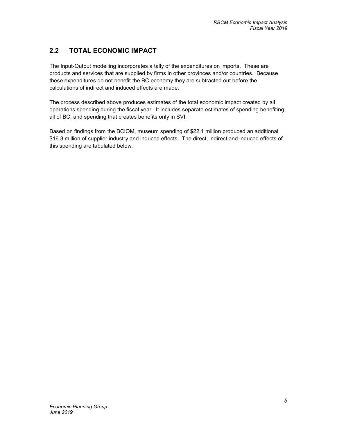### **2.2 TOTAL ECONOMIC IMPACT**

The Input-Output modelling incorporates a tally of the expenditures on imports. These are products and services that are supplied by firms in other provinces and/or countries. Because these expenditures do not benefit the BC economy they are subtracted out before the calculations of indirect and induced effects are made.

The process described above produces estimates of the total economic impact created by all operations spending during the fiscal year. It includes separate estimates of spending benefiting all of BC, and spending that creates benefits only in SVI.

Based on findings from the BCIOM, museum spending of \$22.1 million produced an additional \$16.3 million of supplier industry and induced effects. The direct, indirect and induced effects of this spending are tabulated below.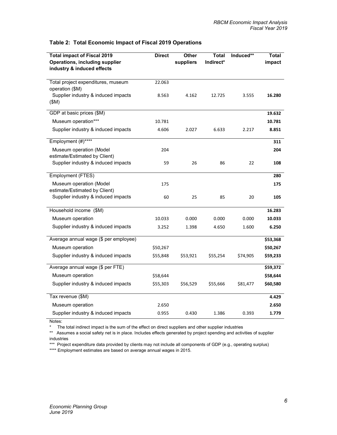| <b>Total impact of Fiscal 2019</b><br><b>Operations, including supplier</b> | <b>Direct</b> | Other<br>suppliers | <b>Total</b><br>Indirect* | Induced** | <b>Total</b><br>impact |
|-----------------------------------------------------------------------------|---------------|--------------------|---------------------------|-----------|------------------------|
| industry & induced effects                                                  |               |                    |                           |           |                        |
| Total project expenditures, museum<br>operation (\$M)                       | 22.063        |                    |                           |           |                        |
| Supplier industry & induced impacts<br>(SM)                                 | 8.563         | 4.162              | 12.725                    | 3.555     | 16.280                 |
| GDP at basic prices (\$M)                                                   |               |                    |                           |           | 19.632                 |
| Museum operation***                                                         | 10.781        |                    |                           |           | 10.781                 |
| Supplier industry & induced impacts                                         | 4.606         | 2.027              | 6.633                     | 2.217     | 8.851                  |
| Employment (#)****                                                          |               |                    |                           |           | 311                    |
| Museum operation (Model<br>estimate/Estimated by Client)                    | 204           |                    |                           |           | 204                    |
| Supplier industry & induced impacts                                         | 59            | 26                 | 86                        | 22        | 108                    |
| Employment (FTES)                                                           |               |                    |                           |           | 280                    |
| Museum operation (Model<br>estimate/Estimated by Client)                    | 175           |                    |                           |           | 175                    |
| Supplier industry & induced impacts                                         | 60            | 25                 | 85                        | 20        | 105                    |
| Household income (\$M)                                                      |               |                    |                           |           | 16.283                 |
| Museum operation                                                            | 10.033        | 0.000              | 0.000                     | 0.000     | 10.033                 |
| Supplier industry & induced impacts                                         | 3.252         | 1.398              | 4.650                     | 1.600     | 6.250                  |
| Average annual wage (\$ per employee)                                       |               |                    |                           |           | \$53,368               |
| Museum operation                                                            | \$50,267      |                    |                           |           | \$50,267               |
| Supplier industry & induced impacts                                         | \$55,848      | \$53,921           | \$55,254                  | \$74,905  | \$59,233               |
| Average annual wage (\$ per FTE)                                            |               |                    |                           |           | \$59,372               |
| Museum operation                                                            | \$58,644      |                    |                           |           | \$58,644               |
| Supplier industry & induced impacts                                         | \$55,303      | \$56,529           | \$55,666                  | \$81,477  | \$60,580               |
| Tax revenue (\$M)                                                           |               |                    |                           |           | 4.429                  |
| Museum operation                                                            | 2.650         |                    |                           |           | 2.650                  |
| Supplier industry & induced impacts                                         | 0.955         | 0.430              | 1.386                     | 0.393     | 1.779                  |

### **Table 2: Total Economic Impact of Fiscal 2019 Operations**

Notes:

\* The total indirect impact is the sum of the effect on direct suppliers and other supplier industries

\*\* Assumes a social safety net is in place. Includes effects generated by project spending and activities of supplier industries

\*\*\* Project expenditure data provided by clients may not include all components of GDP (e.g., operating surplus) \*\*\*\* Employment estimates are based on average annual wages in 2015.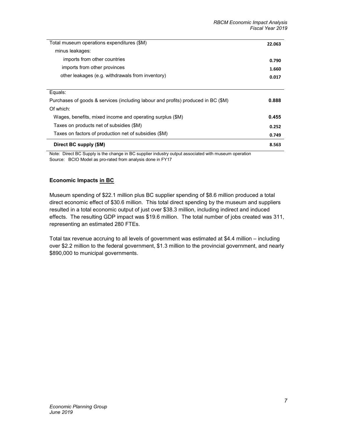| Total museum operations expenditures (\$M)                                        | 22.063 |
|-----------------------------------------------------------------------------------|--------|
| minus leakages:                                                                   |        |
| imports from other countries                                                      | 0.790  |
| imports from other provinces                                                      | 1.660  |
| other leakages (e.g. withdrawals from inventory)                                  | 0.017  |
|                                                                                   |        |
| Equals:                                                                           |        |
| Purchases of goods & services (including labour and profits) produced in BC (\$M) | 0.888  |
| Of which:                                                                         |        |
| Wages, benefits, mixed income and operating surplus (\$M)                         | 0.455  |
| Taxes on products net of subsidies (\$M)                                          | 0.252  |
| Taxes on factors of production net of subsidies (\$M)                             | 0.749  |
| Direct BC supply (\$M)                                                            | 8.563  |

Note: Direct BC Supply is the change in BC supplier industry output associated with museum operation Source: BCIO Model as pro-rated from analysis done in FY17

### **Economic Impacts in BC**

Museum spending of \$22.1 million plus BC supplier spending of \$8.6 million produced a total direct economic effect of \$30.6 million. This total direct spending by the museum and suppliers resulted in a total economic output of just over \$38.3 million, including indirect and induced effects. The resulting GDP impact was \$19.6 million. The total number of jobs created was 311, representing an estimated 280 FTEs.

Total tax revenue accruing to all levels of government was estimated at \$4.4 million – including over \$2.2 million to the federal government, \$1.3 million to the provincial government, and nearly \$890,000 to municipal governments.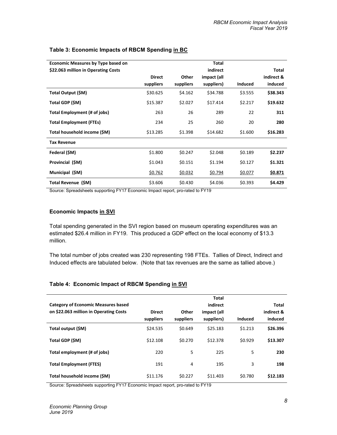| <b>Economic Measures by Type based on</b> |               |           | Total       |                |            |
|-------------------------------------------|---------------|-----------|-------------|----------------|------------|
| \$22.063 million in Operating Costs       |               |           | indirect    |                | Total      |
|                                           | <b>Direct</b> | Other     | impact (all |                | indirect & |
|                                           | suppliers     | suppliers | suppliers)  | <b>Induced</b> | induced    |
| Total Output (\$M)                        | \$30.625      | \$4.162   | \$34.788    | \$3.555        | \$38.343   |
| Total GDP (\$M)                           | \$15.387      | \$2.027   | \$17.414    | \$2.217        | \$19.632   |
| Total Employment (# of jobs)              | 263           | 26        | 289         | 22             | 311        |
| <b>Total Employment (FTEs)</b>            | 234           | 25        | 260         | 20             | 280        |
| Total household income (\$M)              | \$13.285      | \$1.398   | \$14.682    | \$1.600        | \$16.283   |
| <b>Tax Revenue</b>                        |               |           |             |                |            |
| Federal (\$M)                             | \$1.800       | \$0.247   | \$2.048     | \$0.189        | \$2.237    |
| Provincial (\$M)                          | \$1.043       | \$0.151   | \$1.194     | \$0.127        | \$1.321    |
| Municipal (\$M)                           | \$0.762       | \$0.032   | \$0.794     | \$0.077        | \$0.871    |
| Total Revenue (\$M)                       | \$3.606       | \$0.430   | \$4.036     | \$0.393        | \$4.429    |

### **Table 3: Economic Impacts of RBCM Spending in BC**

Source: Spreadsheets supporting FY17 Economic Impact report, pro-rated to FY19

### **Economic Impacts in SVI**

Total spending generated in the SVI region based on museum operating expenditures was an estimated \$26.4 million in FY19. This produced a GDP effect on the local economy of \$13.3 million.

The total number of jobs created was 230 representing 198 FTEs. Tallies of Direct, Indirect and Induced effects are tabulated below. (Note that tax revenues are the same as tallied above.)

#### **Table 4: Economic Impact of RBCM Spending in SVI**

|                                            |               |           | <b>Total</b> |         |            |
|--------------------------------------------|---------------|-----------|--------------|---------|------------|
| <b>Category of Economic Measures based</b> |               |           | indirect     |         | Total      |
| on \$22.063 million in Operating Costs     | <b>Direct</b> | Other     | impact (all  |         | indirect & |
|                                            | suppliers     | suppliers | suppliers)   | Induced | induced    |
| Total output (\$M)                         | \$24.535      | \$0.649   | \$25.183     | \$1.213 | \$26.396   |
| Total GDP (\$M)                            | \$12.108      | \$0.270   | \$12.378     | \$0.929 | \$13.307   |
| Total employment (# of jobs)               | 220           | 5         | 225          | 5       | 230        |
| <b>Total Employment (FTES)</b>             | 191           | 4         | 195          | 3       | 198        |
| Total household income (\$M)               | \$11.176      | \$0.227   | \$11,403     | \$0.780 | \$12.183   |

Source: Spreadsheets supporting FY17 Economic Impact report, pro-rated to FY19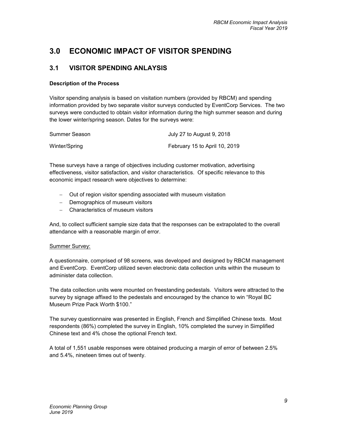### **3.0 ECONOMIC IMPACT OF VISITOR SPENDING**

### **3.1 VISITOR SPENDING ANLAYSIS**

### **Description of the Process**

Visitor spending analysis is based on visitation numbers (provided by RBCM) and spending information provided by two separate visitor surveys conducted by EventCorp Services. The two surveys were conducted to obtain visitor information during the high summer season and during the lower winter/spring season. Dates for the surveys were:

| Summer Season | July 27 to August 9, 2018     |
|---------------|-------------------------------|
| Winter/Spring | February 15 to April 10, 2019 |

These surveys have a range of objectives including customer motivation, advertising effectiveness, visitor satisfaction, and visitor characteristics. Of specific relevance to this economic impact research were objectives to determine:

- − Out of region visitor spending associated with museum visitation
- − Demographics of museum visitors
- − Characteristics of museum visitors

And, to collect sufficient sample size data that the responses can be extrapolated to the overall attendance with a reasonable margin of error.

#### Summer Survey:

A questionnaire, comprised of 98 screens, was developed and designed by RBCM management and EventCorp. EventCorp utilized seven electronic data collection units within the museum to administer data collection.

The data collection units were mounted on freestanding pedestals. Visitors were attracted to the survey by signage affixed to the pedestals and encouraged by the chance to win "Royal BC Museum Prize Pack Worth \$100."

The survey questionnaire was presented in English, French and Simplified Chinese texts. Most respondents (86%) completed the survey in English, 10% completed the survey in Simplified Chinese text and 4% chose the optional French text.

A total of 1,551 usable responses were obtained producing a margin of error of between 2.5% and 5.4%, nineteen times out of twenty.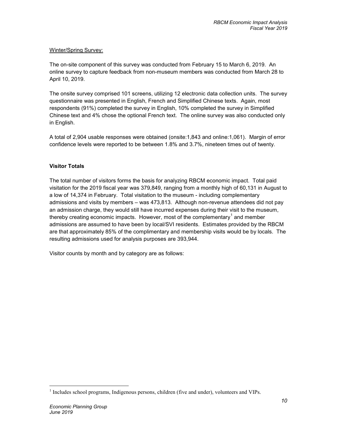### Winter/Spring Survey:

The on-site component of this survey was conducted from February 15 to March 6, 2019. An online survey to capture feedback from non-museum members was conducted from March 28 to April 10, 2019.

The onsite survey comprised 101 screens, utilizing 12 electronic data collection units. The survey questionnaire was presented in English, French and Simplified Chinese texts. Again, most respondents (91%) completed the survey in English, 10% completed the survey in Simplified Chinese text and 4% chose the optional French text. The online survey was also conducted only in English.

A total of 2,904 usable responses were obtained (onsite:1,843 and online:1,061). Margin of error confidence levels were reported to be between 1.8% and 3.7%, nineteen times out of twenty.

### **Visitor Totals**

The total number of visitors forms the basis for analyzing RBCM economic impact. Total paid visitation for the 2019 fiscal year was 379,849, ranging from a monthly high of 60,131 in August to a low of 14,374 in February. Total visitation to the museum - including complementary admissions and visits by members – was 473,813. Although non-revenue attendees did not pay an admission charge, they would still have incurred expenses during their visit to the museum, thereby creating economic impacts. However, most of the complementary<sup>1</sup> and member admissions are assumed to have been by local/SVI residents. Estimates provided by the RBCM are that approximately 85% of the complimentary and membership visits would be by locals. The resulting admissions used for analysis purposes are 393,944.

Visitor counts by month and by category are as follows:

 $\overline{a}$ 

<sup>&</sup>lt;sup>1</sup> Includes school programs, Indigenous persons, children (five and under), volunteers and VIPs.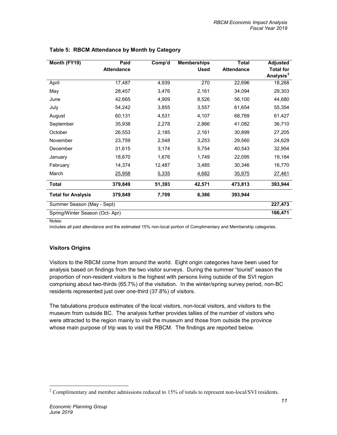| Month (FY19)                   | Paid              | Comp'd | <b>Memberships</b> | <b>Total</b>      | <b>Adjusted</b>       |
|--------------------------------|-------------------|--------|--------------------|-------------------|-----------------------|
|                                | <b>Attendance</b> |        | <b>Used</b>        | <b>Attendance</b> | <b>Total for</b>      |
|                                |                   |        |                    |                   | Analysis <sup>2</sup> |
| April                          | 17,487            | 4,939  | 270                | 22,696            | 18,268                |
| May                            | 28,457            | 3,476  | 2,161              | 34,094            | 29,303                |
| June                           | 42,665            | 4,909  | 8,526              | 56,100            | 44,680                |
| July                           | 54,242            | 3,855  | 3,557              | 61,654            | 55,354                |
| August                         | 60,131            | 4,531  | 4,107              | 68,769            | 61,427                |
| September                      | 35,938            | 2,278  | 2,866              | 41,082            | 36,710                |
| October                        | 26,553            | 2,185  | 2,161              | 30,899            | 27,205                |
| November                       | 23,759            | 2,548  | 3,253              | 29,560            | 24,629                |
| December                       | 31,615            | 3,174  | 5,754              | 40,543            | 32,954                |
| January                        | 18,670            | 1,676  | 1,749              | 22,095            | 19,184                |
| February                       | 14,374            | 12,487 | 3,485              | 30,346            | 16,770                |
| March                          | 25,958            | 5,335  | 4,682              | 35,975            | 27,461                |
| <b>Total</b>                   | 379,849           | 51,393 | 42,571             | 473,813           | 393,944               |
| <b>Total for Analysis</b>      | 379,849           | 7,709  | 6,386              | 393,944           |                       |
| Summer Season (May - Sept)     |                   |        |                    |                   | 227,473               |
| Spring/Winter Season (Oct-Apr) |                   |        |                    |                   | 166,471               |
|                                |                   |        |                    |                   |                       |

### **Table 5: RBCM Attendance by Month by Category**

Notes:

Includes all paid attendance and the estimated 15% non-local portion of Complimentary and Membership categories.

### **Visitors Origins**

Visitors to the RBCM come from around the world. Eight origin categories have been used for analysis based on findings from the two visitor surveys. During the summer "tourist" season the proportion of non-resident visitors is the highest with persons living outside of the SVI region comprising about two-thirds (65.7%) of the visitation. In the winter/spring survey period, non-BC residents represented just over one-third (37.8%) of visitors.

The tabulations produce estimates of the local visitors, non-local visitors, and visitors to the museum from outside BC. The analysis further provides tallies of the number of visitors who were attracted to the region mainly to visit the museum and those from outside the province whose main purpose of trip was to visit the RBCM. The findings are reported below.

 $\overline{a}$ 

 $2$  Complimentary and member admissions reduced to 15% of totals to represent non-local/SVI residents.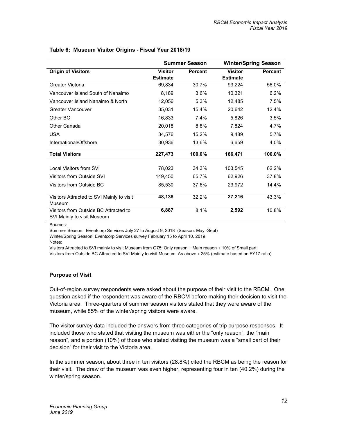|                                                                     | <b>Summer Season</b> |                | <b>Winter/Spring Season</b> |                |  |
|---------------------------------------------------------------------|----------------------|----------------|-----------------------------|----------------|--|
| <b>Origin of Visitors</b>                                           | <b>Visitor</b>       | <b>Percent</b> | <b>Visitor</b>              | <b>Percent</b> |  |
|                                                                     | <b>Estimate</b>      |                | <b>Estimate</b>             |                |  |
| Greater Victoria                                                    | 69,834               | 30.7%          | 93,224                      | 56.0%          |  |
| Vancouver Island South of Nanaimo                                   | 8,189                | 3.6%           | 10,321                      | 6.2%           |  |
| Vancouver Island Nanaimo & North                                    | 12,056               | 5.3%           | 12,485                      | 7.5%           |  |
| Greater Vancouver                                                   | 35,031               | 15.4%          | 20,642                      | 12.4%          |  |
| Other BC                                                            | 16,833               | 7.4%           | 5,826                       | 3.5%           |  |
| Other Canada                                                        | 20,018               | 8.8%           | 7,824                       | 4.7%           |  |
| <b>USA</b>                                                          | 34,576               | 15.2%          | 9,489                       | 5.7%           |  |
| International/Offshore                                              | 30,936               | 13.6%          | 6,659                       | 4.0%           |  |
| <b>Total Visitors</b>                                               | 227,473              | 100.0%         | 166,471                     | 100.0%         |  |
| Local Visitors from SVI                                             | 78,023               | 34.3%          | 103,545                     | 62.2%          |  |
| Visitors from Outside SVI                                           | 149,450              | 65.7%          | 62,926                      | 37.8%          |  |
| Visitors from Outside BC                                            | 85,530               | 37.6%          | 23,972                      | 14.4%          |  |
| Visitors Attracted to SVI Mainly to visit<br>Museum                 | 48,138               | 32.2%          | 27,216                      | 43.3%          |  |
| Visitors from Outside BC Attracted to<br>SVI Mainly to visit Museum | 6,887                | 8.1%           | 2,592                       | 10.8%          |  |

#### **Table 6: Museum Visitor Origins - Fiscal Year 2018/19**

Sources:

Summer Season: Eventcorp Services July 27 to August 9, 2018 (Season: May -Sept)

Winter/Spring Season: Eventcorp Services survey February 15 to April 10, 2019

Notes:

Visitors Attracted to SVI mainly to visit Museum from Q75: Only reason + Main reason + 10% of Small part Visitors from Outside BC Attracted to SVI Mainly to visit Museum: As above x 25% (estimate based on FY17 ratio)

### **Purpose of Visit**

Out-of-region survey respondents were asked about the purpose of their visit to the RBCM. One question asked if the respondent was aware of the RBCM before making their decision to visit the Victoria area. Three-quarters of summer season visitors stated that they were aware of the museum, while 85% of the winter/spring visitors were aware.

The visitor survey data included the answers from three categories of trip purpose responses. It included those who stated that visiting the museum was either the "only reason", the "main reason", and a portion (10%) of those who stated visiting the museum was a "small part of their decision" for their visit to the Victoria area.

In the summer season, about three in ten visitors (28.8%) cited the RBCM as being the reason for their visit. The draw of the museum was even higher, representing four in ten (40.2%) during the winter/spring season.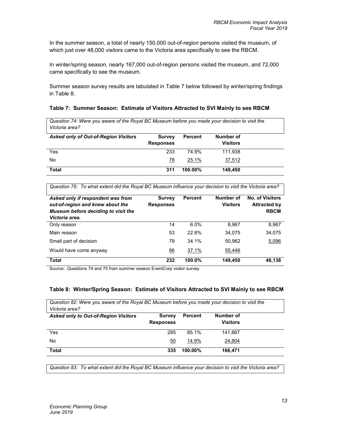In the summer season, a total of nearly 150,000 out-of-region persons visited the museum, of which just over 48,000 visitors came to the Victoria area specifically to see the RBCM.

In winter/spring season, nearly 167,000 out-of-region persons visited the museum, and 72,000 came specifically to see the museum.

Summer season survey results are tabulated in Table 7 below followed by winter/spring findings in Table 8.

### **Table 7: Summer Season: Estimate of Visitors Attracted to SVI Mainly to see RBCM**

*Question 74: Were you aware of the Royal BC Museum before you made your decision to visit the Victoria area?*

| <b>Asked only of Out-of-Region Visitors</b> | <b>Survey</b><br><b>Responses</b> | <b>Percent</b> | Number of<br><b>Visitors</b> |  |
|---------------------------------------------|-----------------------------------|----------------|------------------------------|--|
| Yes                                         | 233                               | 74.9%          | 111,938                      |  |
| No                                          | 78                                | 25.1%          | 37,512                       |  |
| <b>Total</b>                                | 311                               | $100.00\%$     | 149.450                      |  |

*Question 75: To what extent did the Royal BC Museum influence your decision to visit the Victoria area?*

| Asked only if respondent was from<br>out-of-region and knew about the<br>Museum before deciding to visit the<br>Victoria area. | <b>Survey</b><br><b>Responses</b> | <b>Percent</b> | Number of<br><b>Visitors</b> | <b>No. of Visitors</b><br><b>Attracted by</b><br><b>RBCM</b> |
|--------------------------------------------------------------------------------------------------------------------------------|-----------------------------------|----------------|------------------------------|--------------------------------------------------------------|
| Only reason                                                                                                                    | 14                                | 6.0%           | 8.967                        | 8,967                                                        |
| Main reason                                                                                                                    | 53                                | 22.8%          | 34,075                       | 34,075                                                       |
| Small part of decision                                                                                                         | 79                                | 34.1%          | 50,962                       | 5,096                                                        |
| Would have come anyway                                                                                                         | 86                                | 37.1%          | 55,446                       |                                                              |
| <b>Total</b>                                                                                                                   | 232                               | $100.0\%$      | 149,450                      | 48,138                                                       |

Source: Questions 74 and 75 from summer season EventCorp visitor survey.

#### **Table 8: Winter/Spring Season: Estimate of Visitors Attracted to SVI Mainly to see RBCM**

| Question 82: Were you aware of the Royal BC Museum before you made your decision to visit the<br>Victoria area? |                  |            |                 |  |
|-----------------------------------------------------------------------------------------------------------------|------------------|------------|-----------------|--|
| <b>Asked only to Out-of-Region Visitors</b>                                                                     | <b>Survey</b>    | Percent    | Number of       |  |
|                                                                                                                 | <b>Responses</b> |            | <b>Visitors</b> |  |
| Yes                                                                                                             | 285              | 85.1%      | 141.667         |  |
| No                                                                                                              | 50               | 14.9%      | 24,804          |  |
| <b>Total</b>                                                                                                    | 335              | $100.00\%$ | 166.471         |  |

*Question 83: To what extent did the Royal BC Museum influence your decision to visit the Victoria area?*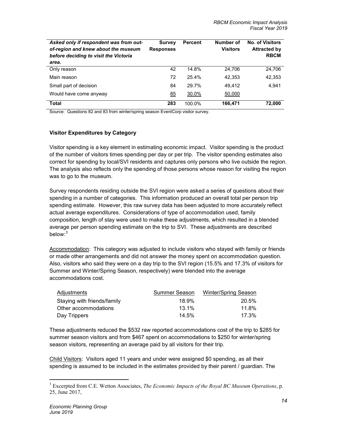| Asked only if respondent was from out-<br>of-region and knew about the museum<br>before deciding to visit the Victoria | <b>Survey</b><br><b>Responses</b> | <b>Percent</b> | Number of<br><b>Visitors</b> | <b>No. of Visitors</b><br><b>Attracted by</b><br><b>RBCM</b> |
|------------------------------------------------------------------------------------------------------------------------|-----------------------------------|----------------|------------------------------|--------------------------------------------------------------|
| area.                                                                                                                  |                                   |                |                              |                                                              |
| Only reason                                                                                                            | 42                                | 14.8%          | 24,706                       | 24,706                                                       |
| Main reason                                                                                                            | 72                                | 25.4%          | 42,353                       | 42,353                                                       |
| Small part of decision                                                                                                 | 84                                | 29.7%          | 49,412                       | 4.941                                                        |
| Would have come anyway                                                                                                 | 85                                | 30.0%          | 50,000                       |                                                              |
| <b>Total</b>                                                                                                           | 283                               | 100.0%         | 166,471                      | 72,000                                                       |

Source: Questions 82 and 83 from winter/spring season EventCorp visitor survey.

### **Visitor Expenditures by Category**

Visitor spending is a key element in estimating economic impact. Visitor spending is the product of the number of visitors times spending per day or per trip. The visitor spending estimates also correct for spending by local/SVI residents and captures only persons who live outside the region. The analysis also reflects only the spending of those persons whose reason for visiting the region was to go to the museum.

Survey respondents residing outside the SVI region were asked a series of questions about their spending in a number of categories. This information produced an overall total per person trip spending estimate. However, this raw survey data has been adjusted to more accurately reflect actual average expenditures. Considerations of type of accommodation used, family composition, length of stay were used to make these adjustments, which resulted in a blended average per person spending estimate on the trip to SVI. These adjustments are described below: 3

Accommodation: This category was adjusted to include visitors who stayed with family or friends or made other arrangements and did not answer the money spent on accommodation question. Also, visitors who said they were on a day trip to the SVI region (15.5% and 17.3% of visitors for Summer and Winter/Spring Season, respectively) were blended into the average accommodations cost.

| Adjustments                 | Summer Season | <b>Winter/Spring Season</b> |
|-----------------------------|---------------|-----------------------------|
| Staying with friends/family | 18.9%         | 20.5%                       |
| Other accommodations        | $13.1\%$      | 11.8%                       |
| Day Trippers                | 14.5%         | 17.3%                       |

These adjustments reduced the \$532 raw reported accommodations cost of the trip to \$285 for summer season visitors and from \$467 spent on accommodations to \$250 for winter/spring season visitors, representing an average paid by all visitors for their trip.

Child Visitors: Visitors aged 11 years and under were assigned \$0 spending, as all their spending is assumed to be included in the estimates provided by their parent / guardian. The

 $\overline{a}$ 

<sup>3</sup> Excerpted from C.E. Wetton Associates, *The Economic Impacts of the Royal BC Museum Operations*, p. 25, June 2017,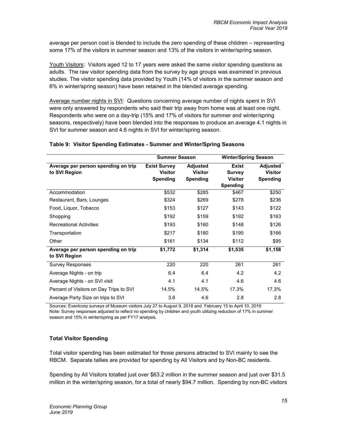average per person cost is blended to include the zero spending of these children – representing some 17% of the visitors in summer season and 13% of the visitors in winter/spring season.

Youth Visitors: Visitors aged 12 to 17 years were asked the same visitor spending questions as adults. The raw visitor spending data from the survey by age groups was examined in previous studies. The visitor spending data provided by Youth (14% of visitors in the summer season and 6% in winter/spring season) have been retained in the blended average spending.

Average number nights in SVI: Questions concerning average number of nights spent in SVI were only answered by respondents who said their trip away from home was at least one night. Respondents who were on a day-trip (15% and 17% of visitors for summer and winter/spring seasons, respectively) have been blended into the responses to produce an average 4.1 nights in SVI for summer season and 4.6 nights in SVI for winter/spring season.

|                                                      | <b>Summer Season</b>                                     |                                                      | <b>Winter/Spring Season</b>                                 |                                                      |
|------------------------------------------------------|----------------------------------------------------------|------------------------------------------------------|-------------------------------------------------------------|------------------------------------------------------|
| Average per person spending on trip<br>to SVI Region | <b>Exist Survey</b><br><b>Visitor</b><br><b>Spending</b> | <b>Adjusted</b><br><b>Visitor</b><br><b>Spending</b> | <b>Exist</b><br><b>Survey</b><br><b>Visitor</b><br>Spending | <b>Adjusted</b><br><b>Visitor</b><br><b>Spending</b> |
| Accommodation                                        | \$532                                                    | \$285                                                | \$467                                                       | \$250                                                |
| Restaurant, Bars, Lounges                            | \$324                                                    | \$269                                                | \$278                                                       | \$236                                                |
| Food, Liquor, Tobacco                                | \$153                                                    | \$127                                                | \$143                                                       | \$122                                                |
| Shopping                                             | \$192                                                    | \$159                                                | \$192                                                       | \$163                                                |
| <b>Recreational Activities</b>                       | \$193                                                    | \$160                                                | \$148                                                       | \$126                                                |
| Transportation                                       | \$217                                                    | \$180                                                | \$195                                                       | \$166                                                |
| Other                                                | \$161                                                    | \$134                                                | \$112                                                       | \$95                                                 |
| Average per person spending on trip<br>to SVI Region | \$1,772                                                  | \$1,314                                              | \$1,535                                                     | \$1,158                                              |
| <b>Survey Responses</b>                              | 220                                                      | 220                                                  | 261                                                         | 261                                                  |
| Average Nights - on trip                             | 6.4                                                      | 6.4                                                  | 4.2                                                         | 4.2                                                  |
| Average Nights - on SVI visit                        | 4.1                                                      | 4.1                                                  | 4.6                                                         | 4.6                                                  |
| Percent of Visitors on Day Trips to SVI              | 14.5%                                                    | 14.5%                                                | 17.3%                                                       | 17.3%                                                |
| Average Party Size on trips to SVI                   | 3.6                                                      | 4.6                                                  | 2.8                                                         | 2.8                                                  |

### **Table 9: Visitor Spending Estimates - Summer and Winter/Spring Seasons**

Sources: Eventcorp surveys of Museum visitors July 27 to August 9, 2018 and February 15 to April 10, 2019 Note: Survey responses adjusted to reflect no spending by children and youth utilizing reduction of 17% in summer season and 15% in winter/spring as per FY17 analysis.

### **Total Visitor Spending**

Total visitor spending has been estimated for those persons attracted to SVI mainly to see the RBCM. Separate tallies are provided for spending by All Visitors and by Non-BC residents.

Spending by All Visitors totalled just over \$63.2 million in the summer season and just over \$31.5 million in the winter/spring season, for a total of nearly \$94.7 million. Spending by non-BC visitors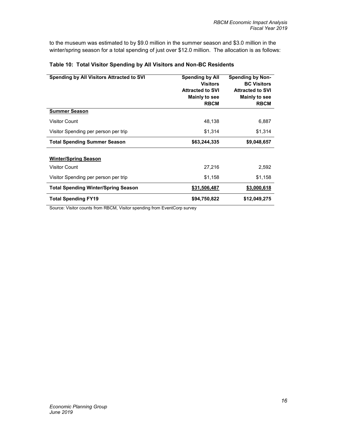to the museum was estimated to by \$9.0 million in the summer season and \$3.0 million in the winter/spring season for a total spending of just over \$12.0 million. The allocation is as follows:

| Spending by All Visitors Attracted to SVI  | <b>Spending by All</b><br><b>Visitors</b><br><b>Attracted to SVI</b><br>Mainly to see<br><b>RBCM</b> | <b>Spending by Non-</b><br><b>BC Visitors</b><br><b>Attracted to SVI</b><br>Mainly to see<br><b>RBCM</b> |
|--------------------------------------------|------------------------------------------------------------------------------------------------------|----------------------------------------------------------------------------------------------------------|
| <b>Summer Season</b>                       |                                                                                                      |                                                                                                          |
| <b>Visitor Count</b>                       | 48,138                                                                                               | 6,887                                                                                                    |
| Visitor Spending per person per trip       | \$1,314                                                                                              | \$1,314                                                                                                  |
| <b>Total Spending Summer Season</b>        | \$63,244,335                                                                                         | \$9,048,657                                                                                              |
| <b>Winter/Spring Season</b>                |                                                                                                      |                                                                                                          |
| <b>Visitor Count</b>                       | 27,216                                                                                               | 2,592                                                                                                    |
| Visitor Spending per person per trip       | \$1,158                                                                                              | \$1,158                                                                                                  |
| <b>Total Spending Winter/Spring Season</b> | \$31,506,487                                                                                         | \$3,000,618                                                                                              |
| <b>Total Spending FY19</b>                 | \$94,750,822                                                                                         | \$12,049,275                                                                                             |

### **Table 10: Total Visitor Spending by All Visitors and Non-BC Residents**

Source: Visitor counts from RBCM, Visitor spending from EventCorp survey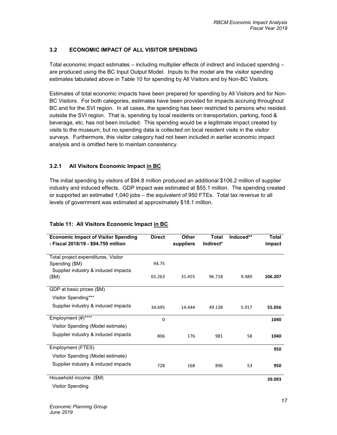### **3.2 ECONOMIC IMPACT OF ALL VISITOR SPENDING**

Total economic impact estimates – including multiplier effects of indirect and induced spending – are produced using the BC Input Output Model. Inputs to the model are the visitor spending estimates tabulated above in Table 10 for spending by All Visitors and by Non-BC Visitors.

Estimates of total economic impacts have been prepared for spending by All Visitors and for Non-BC Visitors. For both categories, estimates have been provided for impacts accruing throughout BC and for the SVI region. In all cases, the spending has been restricted to persons who resided outside the SVI region. That is, spending by local residents on transportation, parking, food & beverage, etc. has not been included. This spending would be a legitimate impact created by visits to the museum, but no spending data is collected on local resident visits in the visitor surveys. Furthermore, this visitor category had not been included in earlier economic impact analysis and is omitted here to maintain consistency.

### **3.2.1 All Visitors Economic Impact in BC**

The initial spending by visitors of \$94.8 million produced an additional \$106.2 million of supplier industry and induced effects. GDP impact was estimated at \$55.1 million. The spending created or supported an estimated 1,040 jobs – the equivalent of 950 FTEs. Total tax revenue to all levels of government was estimated at approximately \$18.1 million.

| <b>Economic Impact of Visitor Spending</b><br>- Fiscal 2018/19 - \$94.750 million | <b>Direct</b> | <b>Other</b><br>suppliers | <b>Total</b><br>Indirect* | Induced** | <b>Total</b><br>impact |
|-----------------------------------------------------------------------------------|---------------|---------------------------|---------------------------|-----------|------------------------|
| Total project expenditures, Visitor                                               |               |                           |                           |           |                        |
| Spending (\$M)                                                                    | 94.75         |                           |                           |           |                        |
| Supplier industry & induced impacts                                               |               |                           |                           |           |                        |
| (SM)                                                                              | 65.263        | 31.455                    | 96.718                    | 9.489     | 106.207                |
| GDP at basic prices (\$M)                                                         |               |                           |                           |           |                        |
| Visitor Spending***                                                               |               |                           |                           |           |                        |
| Supplier industry & induced impacts                                               | 34.695        | 14.444                    | 49.138                    | 5.917     | 55.056                 |
| Employment (#)****                                                                | 0             |                           |                           |           | 1040                   |
| Visitor Spending (Model estimate)                                                 |               |                           |                           |           |                        |
| Supplier industry & induced impacts                                               | 806           | 176                       | 981                       | 58        | 1040                   |
| Employment (FTES)                                                                 |               |                           |                           |           | 950                    |
| Visitor Spending (Model estimate)                                                 |               |                           |                           |           |                        |
| Supplier industry & induced impacts                                               | 728           | 168                       | 896                       | 53        | 950                    |
| Household income<br>(SM)                                                          |               |                           |                           |           | 39.093                 |
| <b>Visitor Spending</b>                                                           |               |                           |                           |           |                        |

### **Table 11: All Visitors Economic Impact in BC**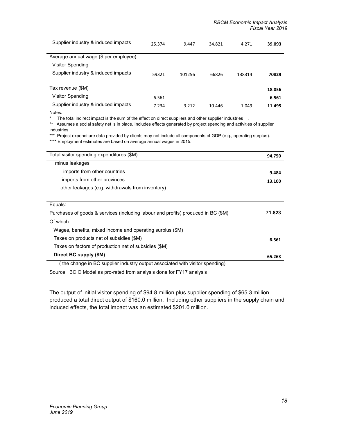| Supplier industry & induced impacts   | 25.374 | 9.447  | 34.821 | 4.271  | 39.093 |
|---------------------------------------|--------|--------|--------|--------|--------|
| Average annual wage (\$ per employee) |        |        |        |        |        |
| Visitor Spending                      |        |        |        |        |        |
| Supplier industry & induced impacts   | 59321  | 101256 | 66826  | 138314 | 70829  |
|                                       |        |        |        |        |        |
| Tax revenue (\$M)                     |        |        |        |        | 18.056 |
| Visitor Spending                      | 6.561  |        |        |        | 6.561  |
| Supplier industry & induced impacts   | 7.234  | 3.212  | 10.446 | 1.049  | 11.495 |

Notes:

\* The total indirect impact is the sum of the effect on direct suppliers and other supplier industries .

\*\* Assumes a social safety net is in place. Includes effects generated by project spending and activities of supplier industries.

\*\*\* Project expenditure data provided by clients may not include all components of GDP (e.g., operating surplus). \*\*\*\* Employment estimates are based on average annual wages in 2015.

| Total visitor spending expenditures (\$M)                                         | 94.750 |
|-----------------------------------------------------------------------------------|--------|
| minus leakages:                                                                   |        |
| imports from other countries                                                      | 9.484  |
| imports from other provinces                                                      | 13.100 |
| other leakages (e.g. withdrawals from inventory)                                  |        |
|                                                                                   |        |
| Equals:                                                                           |        |
| Purchases of goods & services (including labour and profits) produced in BC (\$M) | 71.823 |
| Of which:                                                                         |        |
| Wages, benefits, mixed income and operating surplus (\$M)                         |        |
| Taxes on products net of subsidies (\$M)                                          | 6.561  |
| Taxes on factors of production net of subsidies (\$M)                             |        |
| Direct BC supply (\$M)                                                            | 65.263 |
| the change in BC supplier industry output associated with visitor spending)       |        |

Source: BCIO Model as pro-rated from analysis done for FY17 analysis

The output of initial visitor spending of \$94.8 million plus supplier spending of \$65.3 million produced a total direct output of \$160.0 million. Including other suppliers in the supply chain and induced effects, the total impact was an estimated \$201.0 million.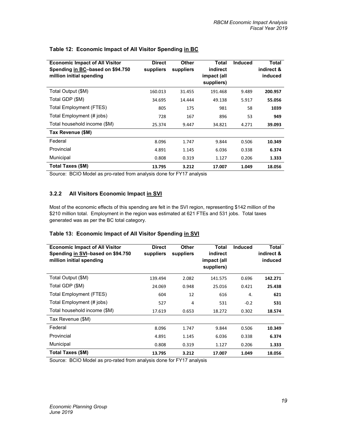| <b>Economic Impact of All Visitor</b><br>Spending in BC-based on \$94.750<br>million initial spending | <b>Direct</b><br>suppliers | Other<br>suppliers | <b>Total</b><br>indirect<br>impact (all<br>suppliers) | <b>Induced</b> | <b>Total</b><br>indirect &<br>induced |
|-------------------------------------------------------------------------------------------------------|----------------------------|--------------------|-------------------------------------------------------|----------------|---------------------------------------|
| Total Output (\$M)                                                                                    | 160.013                    | 31.455             | 191.468                                               | 9.489          | 200.957                               |
| Total GDP (\$M)                                                                                       | 34.695                     | 14.444             | 49.138                                                | 5.917          | 55.056                                |
| Total Employment (FTES)                                                                               | 805                        | 175                | 981                                                   | 58             | 1039                                  |
| Total Employment (# jobs)                                                                             | 728                        | 167                | 896                                                   | 53             | 949                                   |
| Total household income (\$M)                                                                          | 25.374                     | 9.447              | 34.821                                                | 4.271          | 39.093                                |
| Tax Revenue (\$M)                                                                                     |                            |                    |                                                       |                |                                       |
| Federal                                                                                               | 8.096                      | 1.747              | 9.844                                                 | 0.506          | 10.349                                |
| Provincial                                                                                            | 4.891                      | 1.145              | 6.036                                                 | 0.338          | 6.374                                 |
| Municipal                                                                                             | 0.808                      | 0.319              | 1.127                                                 | 0.206          | 1.333                                 |
| <b>Total Taxes (\$M)</b>                                                                              | 13.795                     | 3.212              | 17.007                                                | 1.049          | 18.056                                |

#### **Table 12: Economic Impact of All Visitor Spending in BC**

Source: BCIO Model as pro-rated from analysis done for FY17 analysis

### **3.2.2 All Visitors Economic Impact in SVI**

Most of the economic effects of this spending are felt in the SVI region, representing \$142 million of the \$210 million total. Employment in the region was estimated at 621 FTEs and 531 jobs. Total taxes generated was as per the BC total category.

### **Table 13: Economic Impact of All Visitor Spending in SVI**

| <b>Economic Impact of All Visitor</b><br>Spending in SVI-based on \$94.750<br>million initial spending | <b>Direct</b><br>suppliers | <b>Other</b><br>suppliers | <b>Total</b><br>indirect<br>impact (all<br>suppliers) | <b>Induced</b> | <b>Total</b><br>indirect &<br>induced |
|--------------------------------------------------------------------------------------------------------|----------------------------|---------------------------|-------------------------------------------------------|----------------|---------------------------------------|
| Total Output (\$M)                                                                                     | 139.494                    | 2.082                     | 141.575                                               | 0.696          | 142.271                               |
| Total GDP (\$M)                                                                                        | 24.069                     | 0.948                     | 25.016                                                | 0.421          | 25.438                                |
| Total Employment (FTES)                                                                                | 604                        | 12                        | 616                                                   | 4.             | 621                                   |
| Total Employment (# jobs)                                                                              | 527                        | 4                         | 531                                                   | $-0.2$         | 531                                   |
| Total household income (\$M)                                                                           | 17.619                     | 0.653                     | 18.272                                                | 0.302          | 18.574                                |
| Tax Revenue (\$M)                                                                                      |                            |                           |                                                       |                |                                       |
| Federal                                                                                                | 8.096                      | 1.747                     | 9.844                                                 | 0.506          | 10.349                                |
| Provincial                                                                                             | 4.891                      | 1.145                     | 6.036                                                 | 0.338          | 6.374                                 |
| Municipal                                                                                              | 0.808                      | 0.319                     | 1.127                                                 | 0.206          | 1.333                                 |
| Total Taxes (\$M)                                                                                      | 13.795                     | 3.212                     | 17.007                                                | 1.049          | 18.056                                |

Source: BCIO Model as pro-rated from analysis done for FY17 analysis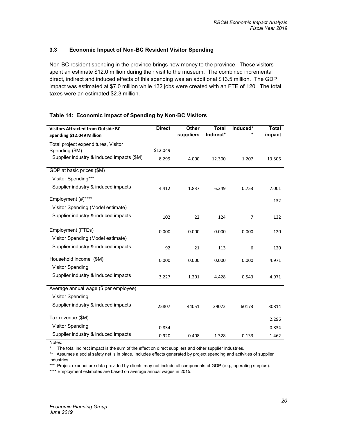### **3.3 Economic Impact of Non-BC Resident Visitor Spending**

Non-BC resident spending in the province brings new money to the province. These visitors spent an estimate \$12.0 million during their visit to the museum. The combined incremental direct, indirect and induced effects of this spending was an additional \$13.5 million. The GDP impact was estimated at \$7.0 million while 132 jobs were created with an FTE of 120. The total taxes were an estimated \$2.3 million.

| Visitors Attracted from Outside BC -      | <b>Direct</b> | Other     | <b>Total</b> | Induced* | <b>Total</b> |
|-------------------------------------------|---------------|-----------|--------------|----------|--------------|
| Spending \$12.049 Million                 |               | suppliers | Indirect*    |          | impact       |
| Total project expenditures, Visitor       |               |           |              |          |              |
| Spending (\$M)                            | \$12.049      |           |              |          |              |
| Supplier industry & induced impacts (\$M) | 8.299         | 4.000     | 12.300       | 1.207    | 13.506       |
| GDP at basic prices (\$M)                 |               |           |              |          |              |
| Visitor Spending***                       |               |           |              |          |              |
| Supplier industry & induced impacts       | 4.412         | 1.837     | 6.249        | 0.753    | 7.001        |
| Employment (#)****                        |               |           |              |          | 132          |
| Visitor Spending (Model estimate)         |               |           |              |          |              |
| Supplier industry & induced impacts       | 102           | 22        | 124          | 7        | 132          |
| Employment (FTEs)                         | 0.000         | 0.000     | 0.000        | 0.000    | 120          |
| Visitor Spending (Model estimate)         |               |           |              |          |              |
| Supplier industry & induced impacts       | 92            | 21        | 113          | 6        | 120          |
| Household income (\$M)                    | 0.000         | 0.000     | 0.000        | 0.000    | 4.971        |
| <b>Visitor Spending</b>                   |               |           |              |          |              |
| Supplier industry & induced impacts       | 3.227         | 1.201     | 4.428        | 0.543    | 4.971        |
| Average annual wage (\$ per employee)     |               |           |              |          |              |
| <b>Visitor Spending</b>                   |               |           |              |          |              |
| Supplier industry & induced impacts       | 25807         | 44051     | 29072        | 60173    | 30814        |
| Tax revenue (\$M)                         |               |           |              |          | 2.296        |
| <b>Visitor Spending</b>                   | 0.834         |           |              |          | 0.834        |
| Supplier industry & induced impacts       | 0.920         | 0.408     | 1.328        | 0.133    | 1.462        |

### **Table 14: Economic Impact of Spending by Non-BC Visitors**

Notes:

The total indirect impact is the sum of the effect on direct suppliers and other supplier industries.

\*\* Assumes a social safety net is in place. Includes effects generated by project spending and activities of supplier industries.

\*\*\* Project expenditure data provided by clients may not include all components of GDP (e.g., operating surplus).

\*\*\*\* Employment estimates are based on average annual wages in 2015.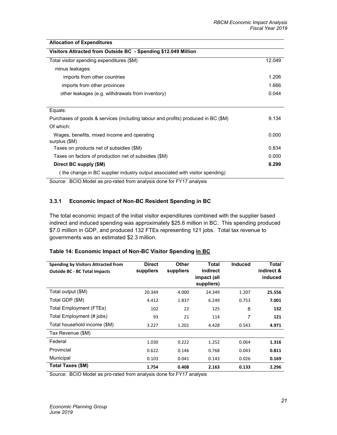| <b>Allocation of Expenditures</b>                                                 |        |
|-----------------------------------------------------------------------------------|--------|
| Visitors Attracted from Outside BC - Spending \$12.049 Million                    |        |
| Total visitor spending expenditures (\$M)                                         | 12.049 |
| minus leakages:                                                                   |        |
| imports from other countries                                                      | 1.206  |
| imports from other provinces                                                      | 1.666  |
| other leakages (e.g. withdrawals from inventory)                                  | 0.044  |
|                                                                                   |        |
| Equals:                                                                           |        |
| Purchases of goods & services (including labour and profits) produced in BC (\$M) | 9.134  |
| Of which:                                                                         |        |
| Wages, benefits, mixed income and operating<br>surplus (\$M)                      | 0.000  |
| Taxes on products net of subsidies (\$M)                                          | 0.834  |
| Taxes on factors of production net of subsidies (\$M)                             | 0.000  |
| Direct BC supply (\$M)                                                            | 8.299  |
| (the change in BC supplier industry output associated with visitor spending)      |        |
| Source: RCIO Model as pro reted from applying dans for EV17 applying              |        |

Source: BCIO Model as pro-rated from analysis done for FY17 analysis

### **3.3.1 Economic Impact of Non-BC Resident Spending in BC**

The total economic impact of the initial visitor expenditures combined with the supplier based indirect and induced spending was approximately \$25.6 million in BC. This spending produced \$7.0 million in GDP, and produced 132 FTEs representing 121 jobs. Total tax revenue to governments was an estimated \$2.3 million.

|  | Table 14: Economic Impact of Non-BC Visitor Spending in BC |
|--|------------------------------------------------------------|
|--|------------------------------------------------------------|

| Spending by Visitors Attracted from<br><b>Outside BC - BC Total Impacts</b> | <b>Direct</b><br>suppliers | <b>Other</b><br>suppliers | Total<br>indirect<br>impact (all<br>suppliers) | <b>Induced</b> | <b>Total</b><br>indirect &<br>induced |
|-----------------------------------------------------------------------------|----------------------------|---------------------------|------------------------------------------------|----------------|---------------------------------------|
| Total output (\$M)                                                          | 20.349                     | 4.000                     | 24.349                                         | 1.207          | 25.556                                |
| Total GDP (\$M)                                                             | 4.412                      | 1.837                     | 6.249                                          | 0.753          | 7.001                                 |
| Total Employment (FTEs)                                                     | 102                        | 22                        | 125                                            | 8              | 132                                   |
| Total Employment (# jobs)                                                   | 93                         | 21                        | 114                                            | 7              | 121                                   |
| Total household income (\$M)                                                | 3.227                      | 1.201                     | 4.428                                          | 0.543          | 4.971                                 |
| Tax Revenue (\$M)                                                           |                            |                           |                                                |                |                                       |
| Federal                                                                     | 1.030                      | 0.222                     | 1.252                                          | 0.064          | 1.316                                 |
| Provincial                                                                  | 0.622                      | 0.146                     | 0.768                                          | 0.043          | 0.811                                 |
| Municipal                                                                   | 0.103                      | 0.041                     | 0.143                                          | 0.026          | 0.169                                 |
| Total Taxes (\$M)                                                           | 1.754                      | 0.408                     | 2.163                                          | 0.133          | 2.296                                 |

Source: BCIO Model as pro-rated from analysis done for FY17 analysis